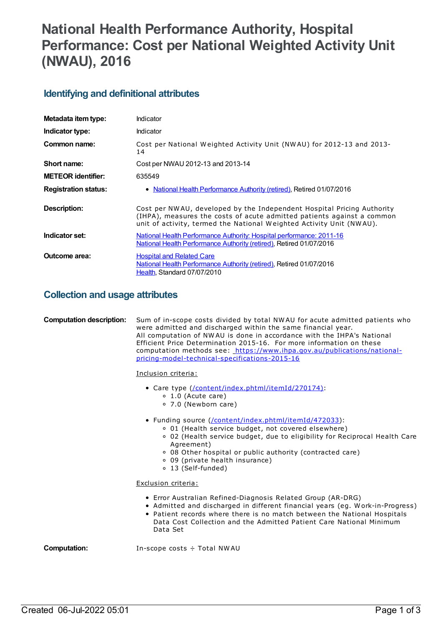# **National Health Performance Authority, Hospital Performance: Cost per National Weighted Activity Unit (NWAU), 2016**

## **Identifying and definitional attributes**

| Metadata item type:         | Indicator                                                                                                                                                                                                                |
|-----------------------------|--------------------------------------------------------------------------------------------------------------------------------------------------------------------------------------------------------------------------|
| Indicator type:             | Indicator                                                                                                                                                                                                                |
| Common name:                | Cost per National Weighted Activity Unit (NWAU) for 2012-13 and 2013-<br>14                                                                                                                                              |
| Short name:                 | Cost per NWAU 2012-13 and 2013-14                                                                                                                                                                                        |
| <b>METEOR identifier:</b>   | 635549                                                                                                                                                                                                                   |
| <b>Registration status:</b> | • National Health Performance Authority (retired), Retired 01/07/2016                                                                                                                                                    |
| Description:                | Cost per NWAU, developed by the Independent Hospital Pricing Authority<br>(IHPA), measures the costs of acute admitted patients against a common<br>unit of activity, termed the National Weighted Activity Unit (NWAU). |
| Indicator set:              | National Health Performance Authority: Hospital performance: 2011-16<br>National Health Performance Authority (retired), Retired 01/07/2016                                                                              |
| Outcome area:               | <b>Hospital and Related Care</b><br>National Health Performance Authority (retired), Retired 01/07/2016<br>Health, Standard 07/07/2010                                                                                   |

# **Collection and usage attributes**

| <b>Computation description:</b> | Sum of in-scope costs divided by total NWAU for acute admitted patients who<br>were admitted and discharged within the same financial year.<br>All computation of NWAU is done in accordance with the IHPA's National<br>Efficient Price Determination 2015-16. For more information on these<br>computation methods see: https://www.ihpa.gov.au/publications/national-<br>pricing-model-technical-specifications-2015-16<br>Inclusion criteria:<br>• Care type (/content/index.phtml/itemId/270174):<br>$\circ$ 1.0 (Acute care)<br>○ 7.0 (Newborn care)<br>• Funding source (/content/index.phtml/itemId/472033):<br>○ 01 (Health service budget, not covered elsewhere)<br>o 02 (Health service budget, due to eligibility for Reciprocal Health Care<br>Agreement)<br>○ 08 Other hospital or public authority (contracted care)<br>○ 09 (private health insurance)<br>o 13 (Self-funded)<br>Exclusion criteria:<br>• Error Australian Refined-Diagnosis Related Group (AR-DRG)<br>• Admitted and discharged in different financial years (eg. Work-in-Progress) |
|---------------------------------|----------------------------------------------------------------------------------------------------------------------------------------------------------------------------------------------------------------------------------------------------------------------------------------------------------------------------------------------------------------------------------------------------------------------------------------------------------------------------------------------------------------------------------------------------------------------------------------------------------------------------------------------------------------------------------------------------------------------------------------------------------------------------------------------------------------------------------------------------------------------------------------------------------------------------------------------------------------------------------------------------------------------------------------------------------------------|
|                                 | • Patient records where there is no match between the National Hospitals<br>Data Cost Collection and the Admitted Patient Care National Minimum<br>Data Set                                                                                                                                                                                                                                                                                                                                                                                                                                                                                                                                                                                                                                                                                                                                                                                                                                                                                                          |
| Computation:                    | In-scope costs $\div$ Total NWAU                                                                                                                                                                                                                                                                                                                                                                                                                                                                                                                                                                                                                                                                                                                                                                                                                                                                                                                                                                                                                                     |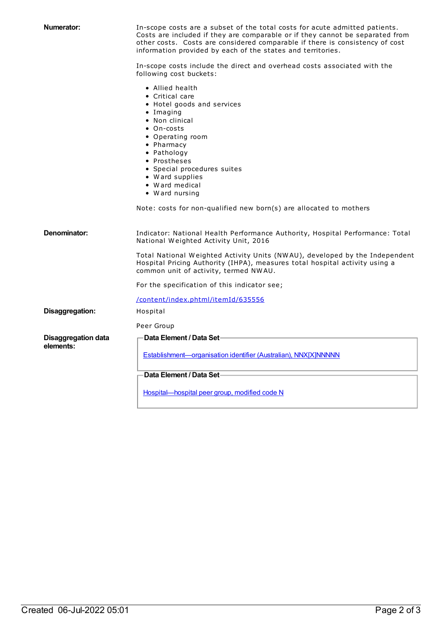| Numerator:                              | In-scope costs are a subset of the total costs for acute admitted patients.<br>Costs are included if they are comparable or if they cannot be separated from<br>other costs. Costs are considered comparable if there is consistency of cost<br>information provided by each of the states and territories. |
|-----------------------------------------|-------------------------------------------------------------------------------------------------------------------------------------------------------------------------------------------------------------------------------------------------------------------------------------------------------------|
|                                         | In-scope costs include the direct and overhead costs associated with the<br>following cost buckets:                                                                                                                                                                                                         |
|                                         | • Allied health<br>• Critical care<br>• Hotel goods and services<br>• Imaging<br>• Non clinical<br>$\bullet$ On-costs<br>• Operating room<br>• Pharmacy<br>• Pathology<br>• Prostheses<br>• Special procedures suites<br>• Ward supplies<br>• Ward medical<br>• Ward nursing                                |
|                                         | Note: costs for non-qualified new born(s) are allocated to mothers                                                                                                                                                                                                                                          |
| Denominator:                            | Indicator: National Health Performance Authority, Hospital Performance: Total<br>National Weighted Activity Unit, 2016                                                                                                                                                                                      |
|                                         | Total National Weighted Activity Units (NWAU), developed by the Independent<br>Hospital Pricing Authority (IHPA), measures total hospital activity using a<br>common unit of activity, termed NWAU.                                                                                                         |
|                                         | For the specification of this indicator see;                                                                                                                                                                                                                                                                |
|                                         | /content/index.phtml/itemId/635556                                                                                                                                                                                                                                                                          |
| Disaggregation:                         | Hospital                                                                                                                                                                                                                                                                                                    |
|                                         | Peer Group                                                                                                                                                                                                                                                                                                  |
| <b>Disaggregation data</b><br>elements: | <b>Data Element / Data Set-</b><br>Establishment-organisation identifier (Australian), NNX[X]NNNNN                                                                                                                                                                                                          |
|                                         | Data Element / Data Set-                                                                                                                                                                                                                                                                                    |
|                                         | Hospital-hospital peer group, modified code N                                                                                                                                                                                                                                                               |
|                                         |                                                                                                                                                                                                                                                                                                             |